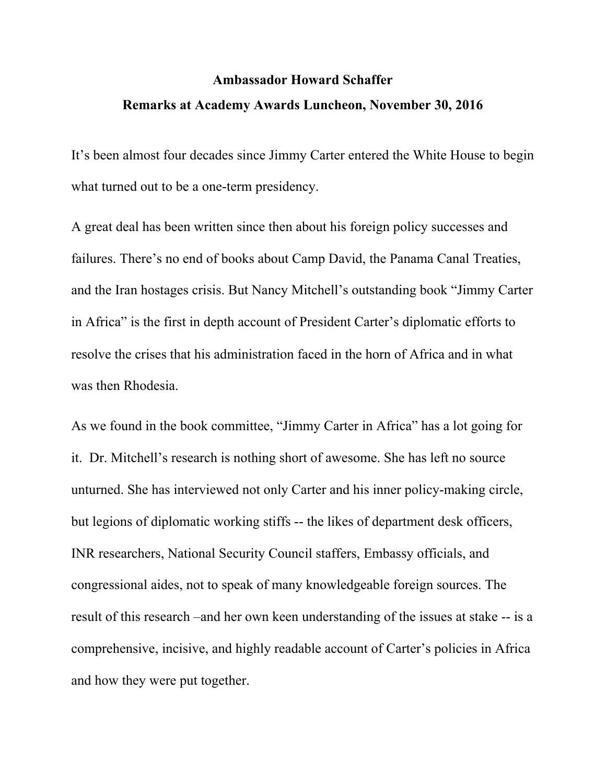## **Ambassador Howard Schaffer Remarks at Academy Awards Luncheon, November 30, 2016**

It's been almost four decades since Jimmy Carter entered the White House to begin what turned out to be a one-term presidency.

A great deal has been written since then about his foreign policy successes and failures. There's no end of books about Camp David, the Panama Canal Treaties, and the Iran hostages crisis. But Nancy Mitchell's outstanding book "Jimmy Carter in Africa" is the first in depth account of President Carter's diplomatic efforts to resolve the crises that his administration faced in the horn of Africa and in what was then Rhodesia.

As we found in the book committee, "Jimmy Carter in Africa" has a lot going for it. Dr. Mitchell's research is nothing short of awesome. She has left no source unturned. She has interviewed not only Carter and his inner policy-making circle, but legions of diplomatic working stiffs -- the likes of department desk officers, INR researchers, National Security Council staffers, Embassy officials, and congressional aides, not to speak of many knowledgeable foreign sources. The result of this research –and her own keen understanding of the issues at stake -- is a comprehensive, incisive, and highly readable account of Carter's policies in Africa and how they were put together.